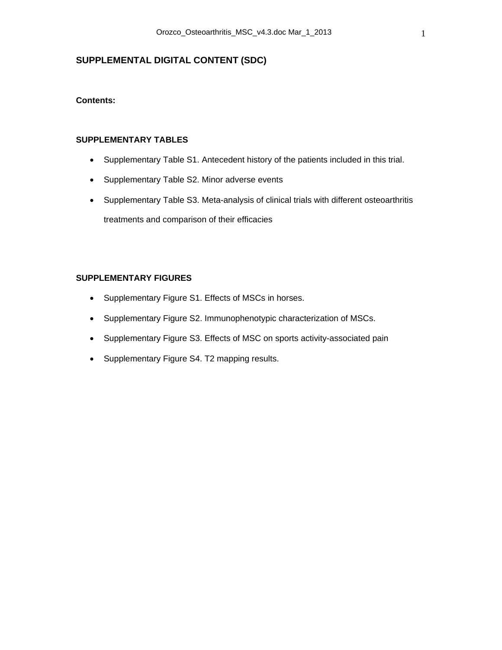## **SUPPLEMENTAL DIGITAL CONTENT (SDC)**

### **Contents:**

#### **SUPPLEMENTARY TABLES**

- Supplementary Table S1. Antecedent history of the patients included in this trial.
- Supplementary Table S2. Minor adverse events
- Supplementary Table S3. Meta-analysis of clinical trials with different osteoarthritis treatments and comparison of their efficacies

### **SUPPLEMENTARY FIGURES**

- Supplementary Figure S1. Effects of MSCs in horses.
- Supplementary Figure S2. Immunophenotypic characterization of MSCs.
- Supplementary Figure S3. Effects of MSC on sports activity-associated pain
- Supplementary Figure S4. T2 mapping results.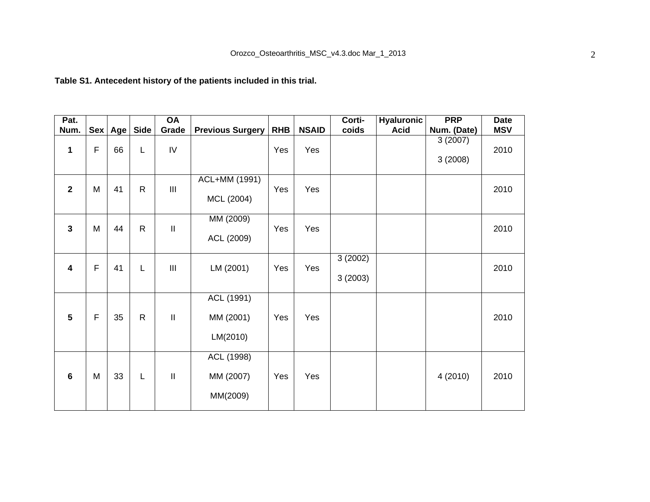# **Table S1. Antecedent history of the patients included in this trial.**

| Pat.                    |              |    |                  | <b>OA</b>                  |                                     |            |              | Corti-             | <b>Hyaluronic</b> | <b>PRP</b>         | <b>Date</b> |
|-------------------------|--------------|----|------------------|----------------------------|-------------------------------------|------------|--------------|--------------------|-------------------|--------------------|-------------|
| Num.                    |              |    | Sex   Age   Side | Grade                      | <b>Previous Surgery</b>             | <b>RHB</b> | <b>NSAID</b> | coids              | <b>Acid</b>       | Num. (Date)        | <b>MSV</b>  |
| 1                       | $\mathsf{F}$ | 66 | L                | IV                         |                                     | Yes        | Yes          |                    |                   | 3(2007)<br>3(2008) | 2010        |
| $\mathbf{2}$            | M            | 41 | $\mathsf{R}$     | III                        | ACL+MM (1991)<br>MCL (2004)         | Yes        | Yes          |                    |                   |                    | 2010        |
| $\mathbf{3}$            | M            | 44 | ${\sf R}$        | $\ensuremath{\mathsf{II}}$ | MM (2009)<br>ACL (2009)             | Yes        | Yes          |                    |                   |                    | 2010        |
| $\overline{\mathbf{4}}$ | $\mathsf F$  | 41 | L                | III                        | LM (2001)                           | Yes        | Yes          | 3(2002)<br>3(2003) |                   |                    | 2010        |
| $5\phantom{1}$          | $\mathsf F$  | 35 | $\mathsf{R}$     | $\,$ II                    | ACL (1991)<br>MM (2001)<br>LM(2010) | Yes        | Yes          |                    |                   |                    | 2010        |
| $6\phantom{1}6$         | M            | 33 | L                | $\mathop{\rm II}\nolimits$ | ACL (1998)<br>MM (2007)<br>MM(2009) | Yes        | Yes          |                    |                   | 4 (2010)           | 2010        |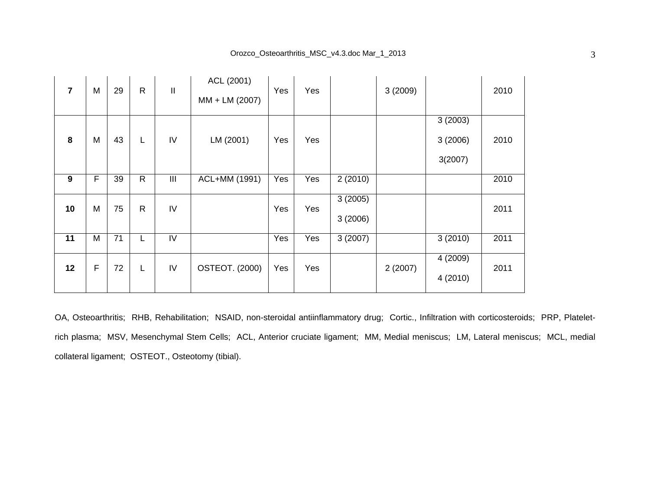| $\overline{7}$ | M | 29 | $\mathsf{R}$ | $\mathbf{II}$  | ACL (2001)<br>MM + LM (2007) | Yes | Yes |                    | 3(2009) |                               | 2010 |
|----------------|---|----|--------------|----------------|------------------------------|-----|-----|--------------------|---------|-------------------------------|------|
| 8              | M | 43 | L            | IV             | LM (2001)                    | Yes | Yes |                    |         | 3(2003)<br>3(2006)<br>3(2007) | 2010 |
| 9              | F | 39 | $\mathsf{R}$ | $\mathbf{III}$ | ACL+MM (1991)                | Yes | Yes | 2(2010)            |         |                               | 2010 |
| 10             | M | 75 | $\mathsf{R}$ | IV             |                              | Yes | Yes | 3(2005)<br>3(2006) |         |                               | 2011 |
| 11             | M | 71 | L            | IV             |                              | Yes | Yes | 3(2007)            |         | 3(2010)                       | 2011 |
| 12             | F | 72 | L            | IV             | <b>OSTEOT. (2000)</b>        | Yes | Yes |                    | 2(2007) | 4 (2009)<br>4 (2010)          | 2011 |

OA, Osteoarthritis; RHB, Rehabilitation; NSAID, non-steroidal antiinflammatory drug; Cortic., Infiltration with corticosteroids; PRP, Plateletrich plasma; MSV, Mesenchymal Stem Cells; ACL, Anterior cruciate ligament; MM, Medial meniscus; LM, Lateral meniscus; MCL, medial collateral ligament; OSTEOT., Osteotomy (tibial).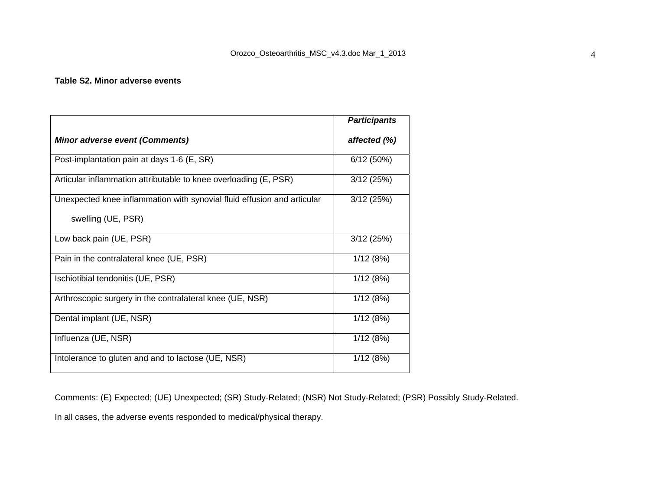#### **Table S2. Minor adverse events**

|                                                                                               | <b>Participants</b> |
|-----------------------------------------------------------------------------------------------|---------------------|
| <b>Minor adverse event (Comments)</b>                                                         | affected (%)        |
| Post-implantation pain at days 1-6 (E, SR)                                                    | 6/12(50%)           |
| Articular inflammation attributable to knee overloading (E, PSR)                              | 3/12(25%)           |
| Unexpected knee inflammation with synovial fluid effusion and articular<br>swelling (UE, PSR) | 3/12(25%)           |
| Low back pain (UE, PSR)                                                                       | 3/12(25%)           |
| Pain in the contralateral knee (UE, PSR)                                                      | 1/12(8%)            |
| Ischiotibial tendonitis (UE, PSR)                                                             | 1/12(8%)            |
| Arthroscopic surgery in the contralateral knee (UE, NSR)                                      | 1/12(8%)            |
| Dental implant (UE, NSR)                                                                      | 1/12(8%)            |
| Influenza (UE, NSR)                                                                           | 1/12(8%)            |
| Intolerance to gluten and and to lactose (UE, NSR)                                            | 1/12(8%)            |

Comments: (E) Expected; (UE) Unexpected; (SR) Study-Related; (NSR) Not Study-Related; (PSR) Possibly Study-Related.

In all cases, the adverse events responded to medical/physical therapy.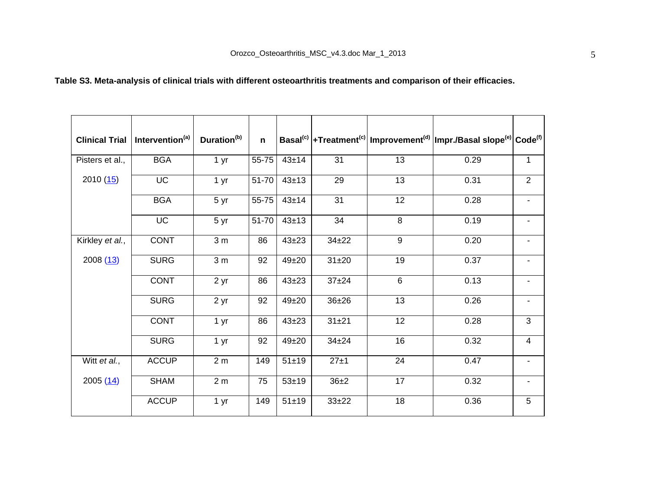# **Table S3. Meta-analysis of clinical trials with different osteoarthritis treatments and comparison of their efficacies.**

| <b>Clinical Trial</b> | Intervention <sup>(a)</sup> | Duration <sup>(b)</sup> | $\mathbf n$ |           |           |                | Basal <sup>(c)</sup> +Treatment <sup>(c)</sup> Improvement <sup>(d)</sup> Impr./Basal slope <sup>(e)</sup> Code <sup>(f)</sup> |                          |
|-----------------------|-----------------------------|-------------------------|-------------|-----------|-----------|----------------|--------------------------------------------------------------------------------------------------------------------------------|--------------------------|
| Pisters et al.,       | <b>BGA</b>                  | 1 <sub>yr</sub>         | 55-75       | $43\pm14$ | 31        | 13             | 0.29                                                                                                                           | $\mathbf{1}$             |
| 2010(15)              | <b>UC</b>                   | 1 <sub>yr</sub>         | 51-70       | $43 + 13$ | 29        | 13             | 0.31                                                                                                                           | $\overline{2}$           |
|                       | <b>BGA</b>                  | 5 yr                    | 55-75       | 43±14     | 31        | 12             | 0.28                                                                                                                           | $\overline{\phantom{a}}$ |
|                       | <b>UC</b>                   | 5 yr                    | 51-70       | $43 + 13$ | 34        | 8              | 0.19                                                                                                                           |                          |
| Kirkley et al.,       | <b>CONT</b>                 | 3 <sub>m</sub>          | 86          | $43 + 23$ | $34 + 22$ | 9              | 0.20                                                                                                                           |                          |
| 2008(13)              | <b>SURG</b>                 | 3 <sub>m</sub>          | 92          | $49 + 20$ | $31 + 20$ | 19             | 0.37                                                                                                                           |                          |
|                       | <b>CONT</b>                 | 2 yr                    | 86          | $43 + 23$ | $37 + 24$ | $6\phantom{1}$ | 0.13                                                                                                                           |                          |
|                       | <b>SURG</b>                 | 2 yr                    | 92          | $49 + 20$ | $36 + 26$ | 13             | 0.26                                                                                                                           | $\overline{\phantom{a}}$ |
|                       | <b>CONT</b>                 | 1 yr                    | 86          | $43 + 23$ | $31 + 21$ | 12             | 0.28                                                                                                                           | 3                        |
|                       | <b>SURG</b>                 | 1 yr                    | 92          | $49 + 20$ | $34 + 24$ | 16             | 0.32                                                                                                                           | $\overline{4}$           |
| Witt et al.,          | <b>ACCUP</b>                | 2 <sub>m</sub>          | 149         | $51 + 19$ | 27±1      | 24             | 0.47                                                                                                                           | $\blacksquare$           |
| 2005(14)              | <b>SHAM</b>                 | 2 <sub>m</sub>          | 75          | $53 + 19$ | $36 + 2$  | 17             | 0.32                                                                                                                           | $\blacksquare$           |
|                       | <b>ACCUP</b>                | 1 yr                    | 149         | $51 + 19$ | $33 + 22$ | 18             | 0.36                                                                                                                           | 5                        |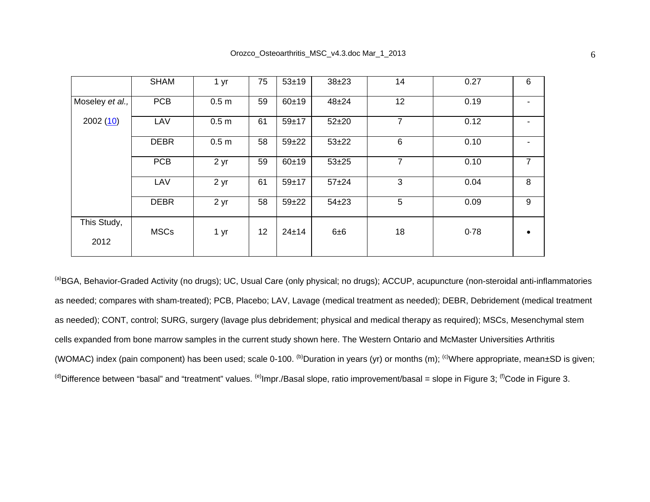|                     | <b>SHAM</b> | 1 yr             | 75 | $53 + 19$ | $38 + 23$ | 14             | 0.27 | 6  |
|---------------------|-------------|------------------|----|-----------|-----------|----------------|------|----|
| Moseley et al.,     | <b>PCB</b>  | 0.5 <sub>m</sub> | 59 | $60 + 19$ | $48 + 24$ | 12             | 0.19 | ۰. |
| 2002(10)            | LAV         | 0.5 <sub>m</sub> | 61 | $59 + 17$ | $52 + 20$ | $\overline{7}$ | 0.12 |    |
|                     | <b>DEBR</b> | 0.5 <sub>m</sub> | 58 | $59 + 22$ | $53 + 22$ | 6              | 0.10 |    |
|                     | <b>PCB</b>  | 2 yr             | 59 | $60 + 19$ | $53 + 25$ | 7              | 0.10 | 7  |
|                     | LAV         | 2 yr             | 61 | $59 + 17$ | $57 + 24$ | 3              | 0.04 | 8  |
|                     | <b>DEBR</b> | 2 yr             | 58 | $59 + 22$ | $54 + 23$ | 5              | 0.09 | 9  |
| This Study,<br>2012 | <b>MSCs</b> | 1 yr             | 12 | $24 + 14$ | 6±6       | 18             | 0.78 |    |

(a)BGA, Behavior-Graded Activity (no drugs); UC, Usual Care (only physical; no drugs); ACCUP, acupuncture (non-steroidal anti-inflammatories as needed; compares with sham-treated); PCB, Placebo; LAV, Lavage (medical treatment as needed); DEBR, Debridement (medical treatment as needed); CONT, control; SURG, surgery (lavage plus debridement; physical and medical therapy as required); MSCs, Mesenchymal stem cells expanded from bone marrow samples in the current study shown here. The Western Ontario and McMaster Universities Arthritis (WOMAC) index (pain component) has been used; scale 0-100. <sup>(b)</sup>Duration in years (yr) or months (m); <sup>(c)</sup>Where appropriate, mean $\pm$ SD is given;  $^{(d)}$ Difference between "basal" and "treatment" values.  $^{(e)}$ Impr./Basal slope, ratio improvement/basal = slope in Figure 3;  $^{(f)}$ Code in Figure 3.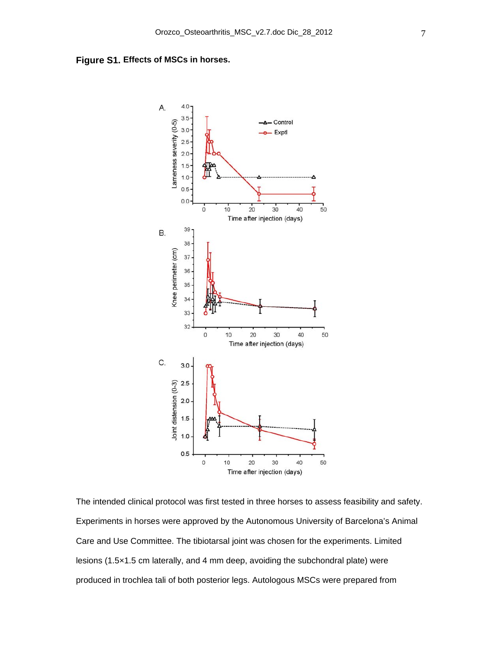**Figure S1. Effects of MSCs in horses.** 



The intended clinical protocol was first tested in three horses to assess feasibility and safety. Experiments in horses were approved by the Autonomous University of Barcelona's Animal Care and Use Committee. The tibiotarsal joint was chosen for the experiments. Limited lesions (1.5×1.5 cm laterally, and 4 mm deep, avoiding the subchondral plate) were produced in trochlea tali of both posterior legs. Autologous MSCs were prepared from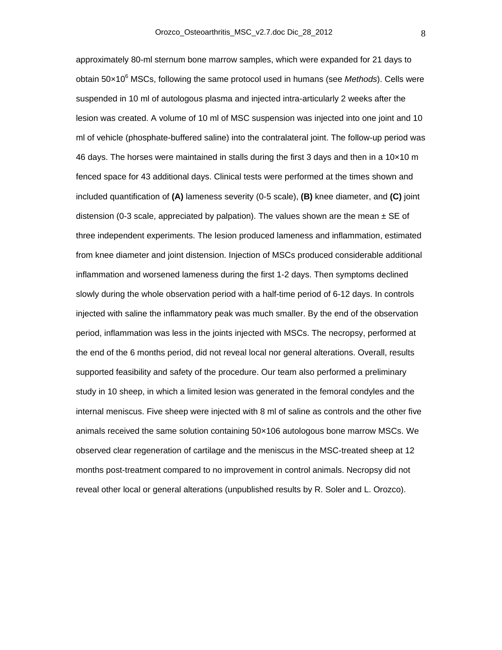approximately 80-ml sternum bone marrow samples, which were expanded for 21 days to obtain 50x10<sup>6</sup> MSCs, following the same protocol used in humans (see *Methods*). Cells were suspended in 10 ml of autologous plasma and injected intra-articularly 2 weeks after the lesion was created. A volume of 10 ml of MSC suspension was injected into one joint and 10 ml of vehicle (phosphate-buffered saline) into the contralateral joint. The follow-up period was 46 days. The horses were maintained in stalls during the first 3 days and then in a 10 $\times$ 10 m fenced space for 43 additional days. Clinical tests were performed at the times shown and included quantification of **(A)** lameness severity (0-5 scale), **(B)** knee diameter, and **(C)** joint distension (0-3 scale, appreciated by palpation). The values shown are the mean  $\pm$  SE of three independent experiments. The lesion produced lameness and inflammation, estimated from knee diameter and joint distension. Injection of MSCs produced considerable additional inflammation and worsened lameness during the first 1-2 days. Then symptoms declined slowly during the whole observation period with a half-time period of 6-12 days. In controls injected with saline the inflammatory peak was much smaller. By the end of the observation period, inflammation was less in the joints injected with MSCs. The necropsy, performed at the end of the 6 months period, did not reveal local nor general alterations. Overall, results supported feasibility and safety of the procedure. Our team also performed a preliminary study in 10 sheep, in which a limited lesion was generated in the femoral condyles and the internal meniscus. Five sheep were injected with 8 ml of saline as controls and the other five animals received the same solution containing 50×106 autologous bone marrow MSCs. We observed clear regeneration of cartilage and the meniscus in the MSC-treated sheep at 12 months post-treatment compared to no improvement in control animals. Necropsy did not reveal other local or general alterations (unpublished results by R. Soler and L. Orozco).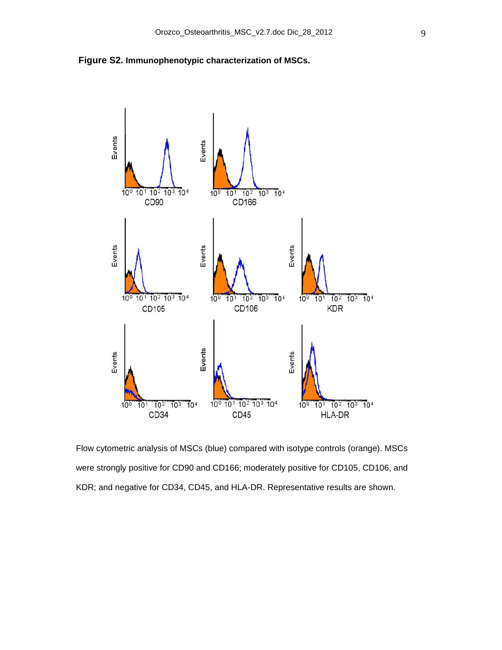



Flow cytometric analysis of MSCs (blue) compared with isotype controls (orange). MSCs were strongly positive for CD90 and CD166; moderately positive for CD105, CD106, and KDR; and negative for CD34, CD45, and HLA-DR. Representative results are shown.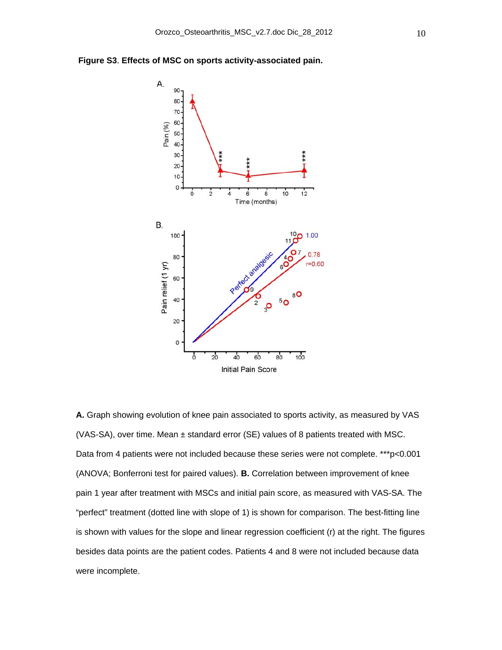



**A.** Graph showing evolution of knee pain associated to sports activity, as measured by VAS (VAS-SA), over time. Mean ± standard error (SE) values of 8 patients treated with MSC. Data from 4 patients were not included because these series were not complete. \*\*\*p<0.001 (ANOVA; Bonferroni test for paired values). **B.** Correlation between improvement of knee pain 1 year after treatment with MSCs and initial pain score, as measured with VAS-SA. The "perfect" treatment (dotted line with slope of 1) is shown for comparison. The best-fitting line is shown with values for the slope and linear regression coefficient (r) at the right. The figures besides data points are the patient codes. Patients 4 and 8 were not included because data were incomplete.